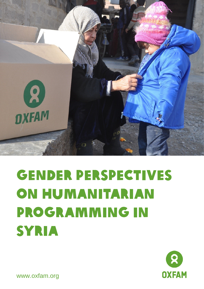

# Gender perspectives on humanitarian programming in **SYRIA**



www.oxfam.org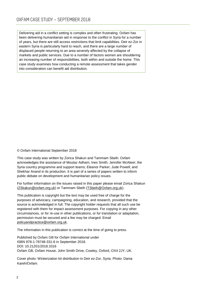Delivering aid in a conflict setting is complex and often frustrating. Oxfam has been delivering humanitarian aid in response to the conflict in Syria for a number of years, but there are still access restrictions that limit capabilities. Deir ez-Zor in eastern Syria is particularly hard to reach, and there are a large number of displaced people returning to an area severely affected by the collapse of markets and public services. Due to a number of factors women are shouldering an increasing number of responsibilities, both within and outside the home. This case study examines how conducting a remote assessment that takes gender into consideration can benefit aid distribution.

© Oxfam International September 2018

This case study was written by Zorica Shakun and Tammam Sbeih. Oxfam acknowledges the assistance of Moutaz Adham; Ines Smith; Jennifer McAteer; the Syria country programme and support teams; Eleanor Parker; Jude Powell; and Shekhar Anand in its production. It is part of a series of papers written to inform public debate on development and humanitarian policy issues.

For further information on the issues raised in this paper please email Zorica Shakun [\(ZSkakun@oxfam.org.uk\)](mailto:ZSkakun@oxfam.org.uk) or Tammam Sbeih [\(TSbeih@Oxfam.org.uk\)](mailto:TSbeih@Oxfam.org.uk).

This publication is copyright but the text may be used free of charge for the purposes of advocacy, campaigning, education, and research, provided that the source is acknowledged in full. The copyright holder requests that all such use be registered with them for impact assessment purposes. For copying in any other circumstances, or for re-use in other publications, or for translation or adaptation, permission must be secured and a fee may be charged. Email [policyandpractice@oxfam.org.uk.](mailto:policyandpractice@oxfam.org.uk)

The information in this publication is correct at the time of going to press.

Published by Oxfam GB for Oxfam International under ISBN 978-1-78748-331-6 in September 2018. DOI: 10.21201/2018.3316 Oxfam GB, Oxfam House, John Smith Drive, Cowley, Oxford, OX4 2JY, UK.

Cover photo: Winterization kit distribution in Deir ez-Zor, Syria. Photo: Dania Kareh/Oxfam.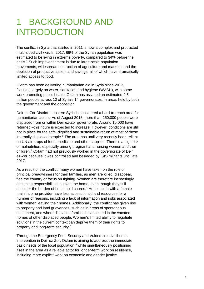## 1 BACKGROUND AND INTRODUCTION

The conflict in Syria that started in 2011 is now a complex and protracted multi-sided civil war. In 2017, 69% of the Syrian population was estimated to be living in extreme poverty, compared to 34% before the crisis. [1](#page-6-0) Such impoverishment is due to large-scale population movements, widespread destruction of agriculture and markets, and the depletion of productive assets and savings, all of which have dramatically limited access to food.

Oxfam has been delivering humanitarian aid in Syria since 2013, focusing largely on water, sanitation and hygiene (WASH), with some work promoting public health. Oxfam has assisted an estimated 2.5 million people across 10 of Syria's 14 governorates, in areas held by both the government and the opposition.

Deir ez-Zor District in eastern Syria is considered a hard-to-reach area for humanitarian actors. As of August 2018, more than 250,000 people were displaced from or within Deir ez-Zor governorate. Around 15,000 have returned –this figure is expected to increase. However, conditions are still not in place for the safe, dignified and sustainable return of most of these internally displaced people. $2$  The area has until very recently been reliant on UN air drops of food, medicine and other supplies. There is a high risk of malnutrition, especially among pregnant and nursing women and their children. [3](#page-6-2) Oxfam had not previously worked in the governorate of Deir ez-Zor because it was controlled and besieged by ISIS militants until late 2017.

As a result of the conflict, many women have taken on the role of principal breadwinners for their families, as men are killed, disappear, flee the country or focus on fighting. Women are therefore increasingly assuming responsibilities outside the home, even though they still shoulder the burden of household chores. [4](#page-6-3) Households with a female main income provider have less access to aid and resources for a number of reasons, including a lack of information and risks associated with women leaving their homes. Additionally, the conflict has given rise to property and land grievances, such as in areas of spontaneous settlement, and where displaced families have settled in the vacated homes of other displaced people. Women's limited ability to negotiate solutions in the current context can deprive them of their rights to property and long-term security.[5](#page-6-4)

Through the Emergency Food Security and Vulnerable Livelihoods intervention in Deir ez-Zor, Oxfam is aiming to address the immediate basic needs of the local population, $6$  while simultaneously positioning itself in the area as a reliable actor for longer-term work on resilience, including more explicit work on economic and gender justice.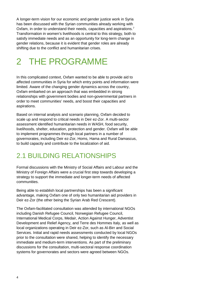A longer-term vision for our economic and gender justice work in Syria has been discussed with the Syrian communities already working with Oxfam, in order to understand their needs, capacities and aspirations.<sup>[7](#page-6-6)</sup> Transformation in women's livelihoods is central to this strategy, both to satisfy immediate needs and as an opportunity for long-term change in gender relations, because it is evident that gender roles are already shifting due to the conflict and humanitarian crises.

# 2 THE PROGRAMME

In this complicated context, Oxfam wanted to be able to provide aid to affected communities in Syria for which entry points and information were limited. Aware of the changing gender dynamics across the country, Oxfam embarked on an approach that was embedded in strong relationships with government bodies and non-governmental partners in order to meet communities' needs, and boost their capacities and aspirations.

Based on internal analysis and scenario planning, Oxfam decided to scale up and respond to critical needs in Deir ez-Zor. A multi-sector assessment identified humanitarian needs in WASH, food security, livelihoods, shelter, education, protection and gender. Oxfam will be able to implement programmes through local partners in a number of governorates, including Deir ez-Zor, Homs, Hama and Rural Damascus, to build capacity and contribute to the localization of aid.

#### 2.1 BUILDING RELATIONSHIPS

Formal discussions with the Ministry of Social Affairs and Labour and the Ministry of Foreign Affairs were a crucial first step towards developing a strategy to support the immediate and longer-term needs of affected communities.

Being able to establish local partnerships has been a significant advantage, making Oxfam one of only two humanitarian aid providers in Deir ez-Zor (the other being the Syrian Arab Red Crescent).

The Oxfam-facilitated consultation was attended by international NGOs including Danish Refugee Council, Norwegian Refugee Council, International Medical Corps, Medair, Action Against Hunger, Adventist Development and Relief Agency, and Terre des Hommes Italy, as well as local organizations operating in Deir ez-Zor, such as Al-Birr and Social Services. Initial and rapid needs assessments conducted by local NGOs prior to the consultation were shared, helping to identify the necessary immediate and medium-term interventions. As part of the preliminary discussions for the consultation, multi-sectoral response coordination systems for governorates and sectors were agreed between NGOs.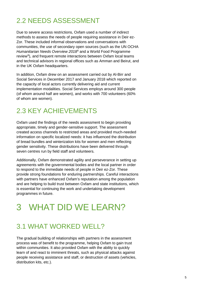## 2.2 NEEDS ASSESSMENT

Due to severe access restrictions, Oxfam used a number of indirect methods to assess the needs of people requiring assistance in Deir ez-Zor. These included informal observations and conversations with communities, the use of secondary open sources (such as the UN OCHA *Humanitarian Needs Overview 2018*[8](#page-6-7) and a World Food Programme review<sup>[9](#page-6-8)</sup>), and frequent remote interactions between Oxfam local teams and technical advisors in regional offices such as Amman and Beirut, and in the UK Oxfam headquarters.

In addition, Oxfam drew on an assessment carried out by Al-Birr and Social Services in December 2017 and January 2018 which reported on the capacity of local actors currently delivering aid and current implementation modalities. Social Services employs around 300 people (of whom around half are women), and works with 700 volunteers (60% of whom are women).

## 2.3 KEY ACHIEVEMENTS

Oxfam used the findings of the needs assessment to begin providing appropriate, timely and gender-sensitive support. The assessment created access channels to restricted areas and provided much-needed information on specific localized needs: it has influenced the distribution of bread bundles and winterization kits for women and men reflecting gender sensitivity. These distributions have been delivered through seven centres run by field staff and volunteers.

Additionally, Oxfam demonstrated agility and perseverance in setting up agreements with the governmental bodies and the local partner in order to respond to the immediate needs of people in Deir ez-Zor. These provide strong foundations for enduring partnerships. Careful interactions with partners have enhanced Oxfam's reputation among the population and are helping to build trust between Oxfam and state institutions, which is essential for continuing the work and undertaking development programmes in future.

# 3 WHAT DID WE LEARN?

## 3.1 WHAT WORKED WELL?

The gradual building of relationships with partners in the assessment process was of benefit to the programme, helping Oxfam to gain trust within communities. It also provided Oxfam with the ability to quickly learn of and react to imminent threats, such as physical attacks against people receiving assistance and staff, or destruction of assets (vehicles, distribution kits, etc.).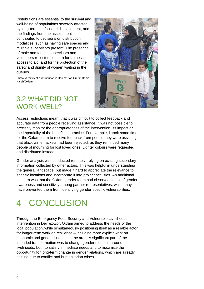Distributions are essential to the survival and well-being of populations severely affected by long-term conflict and displacement, and the findings from the assessment contributed to decisions on distribution modalities, such as having safe spaces and multiple supervisors present. The presence of male and female supervisors and volunteers reflected concern for fairness in access to aid, and for the protection of the safety and dignity of women waiting in the queues.

Photo: A family at a distribution in Deir ez-Zor. Credit: Dania Kareh/Oxfam.



#### 3.2 WHAT DID NOT WORK WELL?

Access restrictions meant that it was difficult to collect feedback and accurate data from people receiving assistance. It was not possible to precisely monitor the appropriateness of the intervention, its impact or the impartiality of the benefits in practice. For example, it took some time for the Oxfam team to receive feedback from people they were assisting that black winter jackets had been rejected, as they reminded many people of mourning for lost loved ones. Lighter colours were requested and distributed instead.

Gender analysis was conducted remotely, relying on existing secondary information collected by other actors. This was helpful in understanding the general landscape, but made it hard to appreciate the relevance to specific locations and incorporate it into project activities. An additional concern was that the Oxfam gender team had observed a lack of gender awareness and sensitivity among partner representatives, which may have prevented them from identifying gender-specific vulnerabilities.

## 4 CONCLUSION

Through the Emergency Food Security and Vulnerable Livelihoods intervention in Deir ez-Zor, Oxfam aimed to address the needs of the local population, while simultaneously positioning itself as a reliable actor for longer-term work on resilience – including more explicit work on economic and gender justice – in the area. A significant part of the intended transformation was to change gender relations around livelihoods, both to satisfy immediate needs and to maximize the opportunity for long-term change in gender relations, which are already shifting due to conflict and humanitarian crises.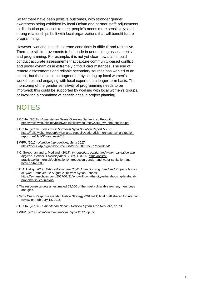So far there have been positive outcomes, with stronger gender awareness being exhibited by local Oxfam and partner staff; adjustments to distribution processes to meet people's needs more sensitively; and strong relationships built with local organizations that will benefit future programming.

However, working in such extreme conditions is difficult and restrictive. There are still improvements to be made in undertaking assessments and programming. For example, it is not yet clear how staff should conduct accurate assessments that capture community-based conflict and power dynamics in extremely difficult circumstances. The use of remote assessments and reliable secondary sources has worked to an extent, but these could be augmented by setting up local women's workshops and engaging with local experts on a longer-term basis. The monitoring of the gender sensitivity of programming needs to be improved: this could be supported by working with local women's groups, or involving a committee of beneficiaries in project planning.

#### **NOTES**

- <span id="page-6-0"></span>1 OCHA. (2018). *Humanitarian Needs Overview Syrian Arab Republic*. [https://reliefweb.int/sites/reliefweb.int/files/resources/2018\\_syr\\_hno\\_english.pdf](https://reliefweb.int/sites/reliefweb.int/files/resources/2018_syr_hno_english.pdf)
- <span id="page-6-1"></span>2 OCHA. (2018). *Syria Crisis: Northeast Syria Situation Report No. 21*. [https://reliefweb.int/report/syrian-arab-republic/syria-crisis-northeast-syria-situation](https://reliefweb.int/report/syrian-arab-republic/syria-crisis-northeast-syria-situation-report-no-21-1-31-january-2018)[report-no-21-1-31-january-2018](https://reliefweb.int/report/syrian-arab-republic/syria-crisis-northeast-syria-situation-report-no-21-1-31-january-2018)
- <span id="page-6-2"></span>3 WFP. (2017). *Nutrition Interventions: Syria 2017*. <https://docs.wfp.org/api/documents/WFP-0000015561/download/>
- <span id="page-6-3"></span>4 C. Sweetman and L. Medland. (2017). *Introduction: gender and water, sanitation and hygiene. Gender & Development*, 25(2), 153–66. [https://policy](https://policy-practice.oxfam.org.uk/publications/introduction-gender-and-water-sanitation-and-hygiene-620305)[practice.oxfam.org.uk/publications/introduction-gender-and-water-sanitation-and](https://policy-practice.oxfam.org.uk/publications/introduction-gender-and-water-sanitation-and-hygiene-620305)[hygiene-620305](https://policy-practice.oxfam.org.uk/publications/introduction-gender-and-water-sanitation-and-hygiene-620305)
- <span id="page-6-4"></span>5 O.A. Hallaj. (2017). *Who Will Own the City? Urban Housing, Land and Property Issues in Syria.* Retrieved 22 August 2018 from Syrian Echoes: [https://syrianechoes.com/2017/07/31/who-will-own-the-city-urban-housing-land-and](https://syrianechoes.com/2017/07/31/who-will-own-the-city-urban-housing-land-and-property-issues-in-syria/)[property-issues-in-syria/](https://syrianechoes.com/2017/07/31/who-will-own-the-city-urban-housing-land-and-property-issues-in-syria/)
- <span id="page-6-5"></span>6 The response targets an estimated 53,000 of the most vulnerable women, men, boys and girls.
- <span id="page-6-6"></span>7 Syria Crisis Response Gender Justice Strategy (2017–21) final draft shared for internal review on February 13, 2018.
- <span id="page-6-7"></span>8 OCHA. (2018). *Humanitarian Needs Overview Syrian Arab Republic*, op. cit*.*
- <span id="page-6-8"></span>9 WFP. (2017). *Nutrition Interventions: Syria 2017*, op. cit.